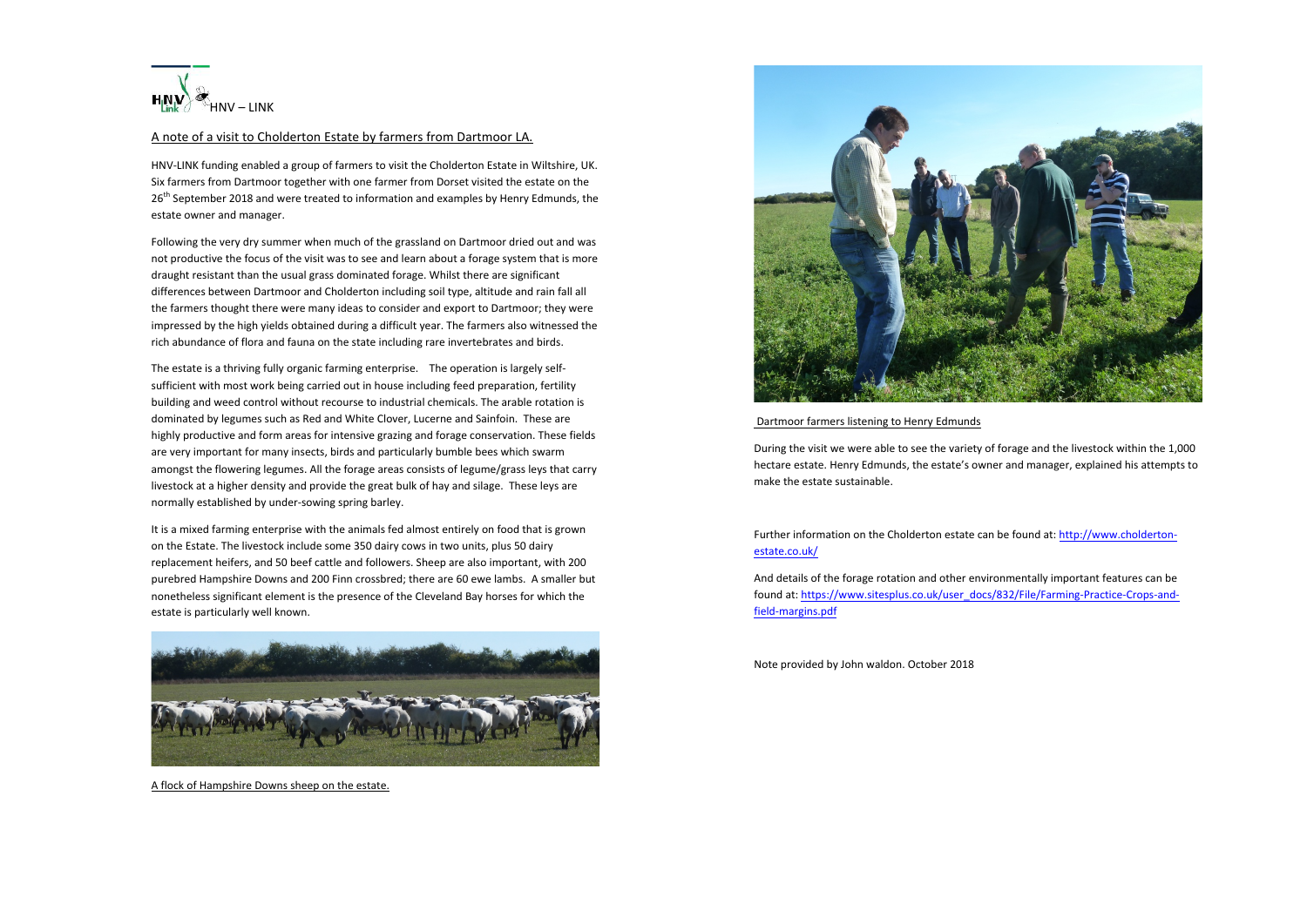

## A note of a visit to Cholderton Estate by farmers from Dartmoor LA.

HNV-LINK funding enabled a group of farmers to visit the Cholderton Estate in Wiltshire, UK. Six farmers from Dartmoor together with one farmer from Dorset visited the estate on the 26<sup>th</sup> September 2018 and were treated to information and examples by Henry Edmunds, the estate owner and manager.

Following the very dry summer when much of the grassland on Dartmoor dried out and was not productive the focus of the visit was to see and learn about a forage system that is more draught resistant than the usual grass dominated forage. Whilst there are significant differences between Dartmoor and Cholderton including soil type, altitude and rain fall all the farmers thought there were many ideas to consider and export to Dartmoor; they were impressed by the high yields obtained during a difficult year. The farmers also witnessed the rich abundance of flora and fauna on the state including rare invertebrates and birds.

The estate is a thriving fully organic farming enterprise. The operation is largely selfsufficient with most work being carried out in house including feed preparation, fertility building and weed control without recourse to industrial chemicals. The arable rotation is dominated by legumes such as Red and White Clover, Lucerne and Sainfoin. These are highly productive and form areas for intensive grazing and forage conservation. These fields are very important for many insects, birds and particularly bumble bees which swarm amongst the flowering legumes. All the forage areas consists of legume/grass leys that carry livestock at a higher density and provide the great bulk of hay and silage. These leys are normally established by under-sowing spring barley.

It is a mixed farming enterprise with the animals fed almost entirely on food that is grown on the Estate. The livestock include some 350 dairy cows in two units, plus 50 dairy replacement heifers, and 50 beef cattle and followers. Sheep are also important, with 200 purebred Hampshire Downs and 200 Finn crossbred; there are 60 ewe lambs. A smaller but nonetheless significant element is the presence of the Cleveland Bay horses for which the estate is particularly well known.



A flock of Hampshire Downs sheep on the estate.



## Dartmoor farmers listening to Henry Edmunds

During the visit we were able to see the variety of forage and the livestock within the 1,000 hectare estate. Henry Edmunds, the estate's owner and manager, explained his attempts to make the estate sustainable.

Further information on the Cholderton estate can be found at: http://www.choldertonestate.co.uk/

And details of the forage rotation and other environmentally important features can be found at: https://www.sitesplus.co.uk/user\_docs/832/File/Farming-Practice-Crops-andfield-margins.pdf

Note provided by John waldon. October 2018